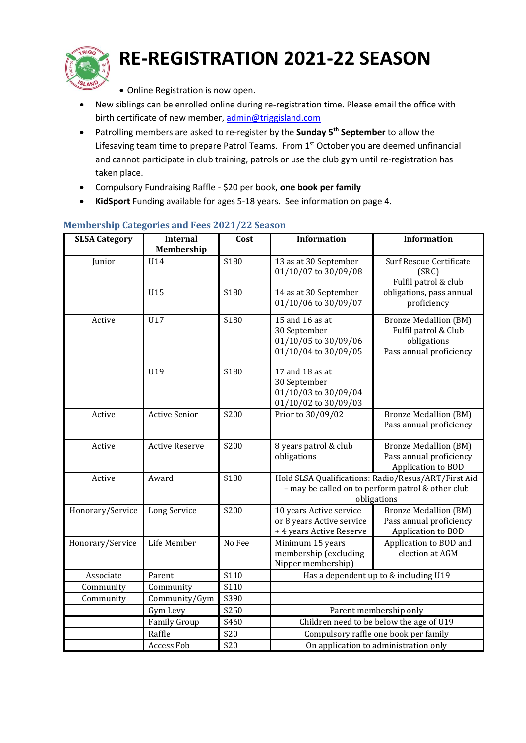

# **RE-REGISTRATION 2021-22 SEASON**

- Online Registration is now open.
- New siblings can be enrolled online during re-registration time. Please email the office with birth certificate of new member, [admin@triggisland.com](mailto:admin@triggisland.com)
- **•** Patrolling members are asked to re-register by the **Sunday 5<sup>th</sup> September** to allow the Lifesaving team time to prepare Patrol Teams. From 1<sup>st</sup> October you are deemed unfinancial and cannot participate in club training, patrols or use the club gym until re-registration has taken place.
- Compulsory Fundraising Raffle \$20 per book, **one book per family**
- **KidSport** Funding available for ages 5-18 years. See information on page 4.

| <b>SLSA Category</b> | <b>Internal</b>       | Cost           | <b>Information</b>                                                               | <b>Information</b>                                                                                                      |  |
|----------------------|-----------------------|----------------|----------------------------------------------------------------------------------|-------------------------------------------------------------------------------------------------------------------------|--|
|                      | Membership            |                |                                                                                  |                                                                                                                         |  |
| Junior               | U14<br>U15            | \$180<br>\$180 | 13 as at 30 September<br>01/10/07 to 30/09/08<br>14 as at 30 September           | <b>Surf Rescue Certificate</b><br>(SRC)<br>Fulfil patrol & club<br>obligations, pass annual                             |  |
|                      |                       |                | 01/10/06 to 30/09/07                                                             | proficiency                                                                                                             |  |
| Active               | U17                   | \$180          | 15 and 16 as at<br>30 September<br>01/10/05 to 30/09/06<br>01/10/04 to 30/09/05  | <b>Bronze Medallion (BM)</b><br>Fulfil patrol & Club<br>obligations<br>Pass annual proficiency                          |  |
|                      | U19                   | \$180          | 17 and 18 as at<br>30 September<br>01/10/03 to 30/09/04<br>01/10/02 to 30/09/03  |                                                                                                                         |  |
| Active               | <b>Active Senior</b>  | \$200          | Prior to 30/09/02                                                                | <b>Bronze Medallion (BM)</b><br>Pass annual proficiency                                                                 |  |
| Active               | <b>Active Reserve</b> | \$200          | 8 years patrol & club<br>obligations                                             | <b>Bronze Medallion (BM)</b><br>Pass annual proficiency<br>Application to BOD                                           |  |
| Active               | Award                 | \$180          |                                                                                  | Hold SLSA Qualifications: Radio/Resus/ART/First Aid<br>- may be called on to perform patrol & other club<br>obligations |  |
| Honorary/Service     | Long Service          | \$200          | 10 years Active service<br>or 8 years Active service<br>+ 4 years Active Reserve | <b>Bronze Medallion (BM)</b><br>Pass annual proficiency<br>Application to BOD                                           |  |
| Honorary/Service     | Life Member           | No Fee         | Minimum 15 years<br>membership (excluding<br>Nipper membership)                  | Application to BOD and<br>election at AGM                                                                               |  |
| Associate            | Parent                | \$110          |                                                                                  | Has a dependent up to & including U19                                                                                   |  |
| Community            | Community             | \$110          |                                                                                  |                                                                                                                         |  |
| Community            | Community/Gym         | \$390          |                                                                                  |                                                                                                                         |  |
|                      | Gym Levy              | \$250          |                                                                                  | Parent membership only                                                                                                  |  |
|                      | <b>Family Group</b>   | \$460          |                                                                                  | Children need to be below the age of U19                                                                                |  |
|                      | Raffle                | \$20           |                                                                                  | Compulsory raffle one book per family                                                                                   |  |
|                      | Access Fob            | \$20           |                                                                                  | On application to administration only                                                                                   |  |

#### **Membership Categories and Fees 2021/22 Season**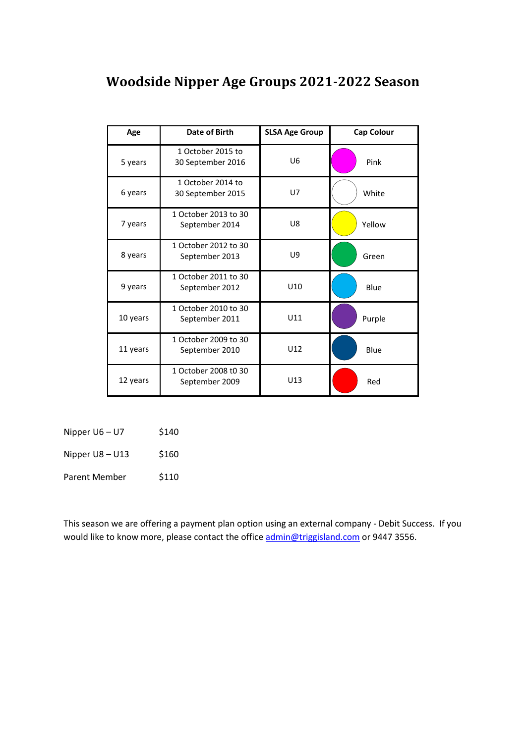## **Woodside Nipper Age Groups 2021-2022 Season**

| Age      | Date of Birth                          | <b>SLSA Age Group</b> | <b>Cap Colour</b> |
|----------|----------------------------------------|-----------------------|-------------------|
| 5 years  | 1 October 2015 to<br>30 September 2016 | U <sub>6</sub>        | Pink              |
| 6 years  | 1 October 2014 to<br>30 September 2015 | U7                    | White             |
| 7 years  | 1 October 2013 to 30<br>September 2014 | U8                    | Yellow            |
| 8 years  | 1 October 2012 to 30<br>September 2013 | U9                    | Green             |
| 9 years  | 1 October 2011 to 30<br>September 2012 | U10                   | Blue              |
| 10 years | 1 October 2010 to 30<br>September 2011 | U11                   | Purple            |
| 11 years | 1 October 2009 to 30<br>September 2010 | U12                   | Blue              |
| 12 years | 1 October 2008 t0 30<br>September 2009 | U13                   | Red               |

| Nipper U6 - U7 | \$140 |
|----------------|-------|
|                |       |

Nipper U8 – U13 \$160

Parent Member \$110

This season we are offering a payment plan option using an external company - Debit Success. If you would like to know more, please contact the offic[e admin@triggisland.com](mailto:admin@triggisland.com) or 9447 3556.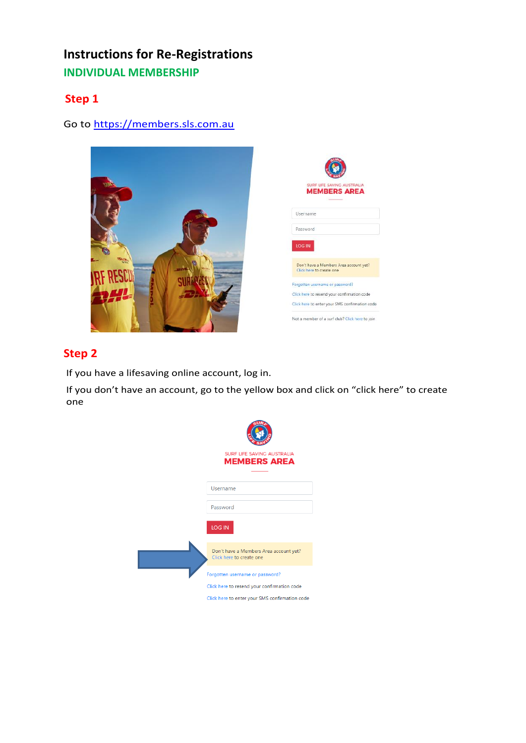# **Instructions for Re-Registrations INDIVIDUAL MEMBERSHIP**

#### **Step 1**

Go to [https://members.sls.com.au](https://members.sls.com.au/)



# SLIDE LIEE **MEMBERS AREA** Don't have a Members Area account yet?<br>Click here to create one Forgotten username or passw Click here to resend your confirmation code Click here to enter your SMS confirmation code Not a member of a surf club? Click here to join

#### **Step 2**

If you have a lifesaving online account, log in.

If you don't have an account, go to the yellow box and click on "click here" to create one

| <b>SURF LIFE SAVING AUSTRALIA</b><br><b>MEMBERS AREA</b>           |
|--------------------------------------------------------------------|
| Username                                                           |
| Password                                                           |
| LOG IN                                                             |
| Don't have a Members Area account yet?<br>Click here to create one |
| Forgotten username or password?                                    |
| Click here to resend your confirmation code                        |
| Click here to enter your SMS confirmation code                     |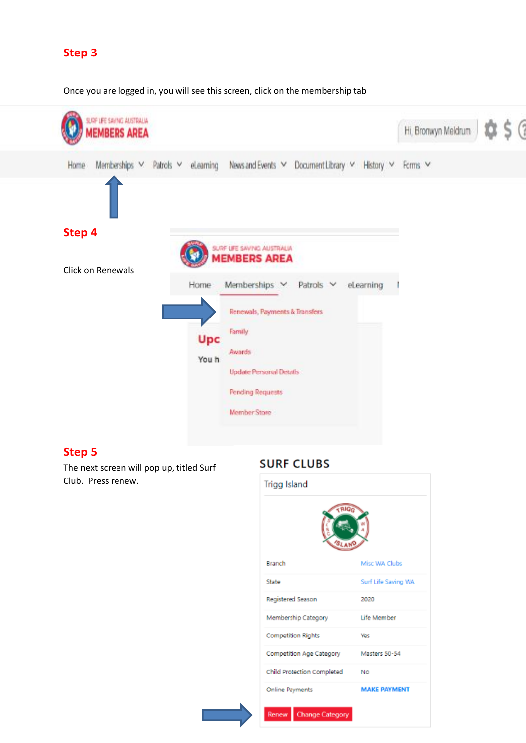Once you are logged in, you will see this screen, click on the membership tab



#### **Step 5**

The next screen will pop up, titled Surf Club. Press renew.

#### **SURF CLUBS**

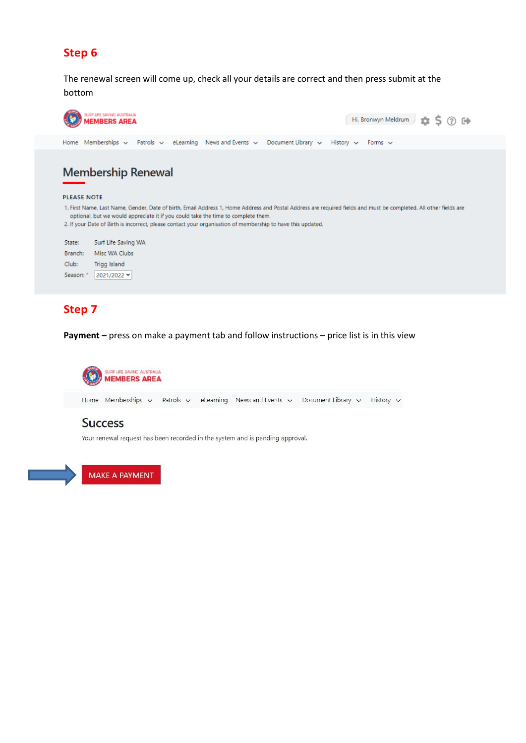The renewal screen will come up, check all your details are correct and then press submit at the bottom



#### PLEASE NOTE

- 1. First Name, Last Name, Gender, Date of birth, Email Address 1, Home Address and Postal Address are required fields and must be completed. All other fields are optional, but we would appreciate it if you could take the time to complete them
- 2. If your Date of Birth is incorrect, please contact your organisation of membership to have this updated.

| State:    | Surf Life Saving WA |
|-----------|---------------------|
| Branch:   | Misc WA Clubs       |
| Club:     | <b>Trigg Island</b> |
| Season: * | 2021/2022 V         |

### **Step 7**

**Payment –** press on make a payment tab and follow instructions – price list is in this view



Home Memberships  $\vee$  Patrols  $\vee$  eLearning News and Events  $\vee$  Document Library  $\vee$  History  $\vee$ 

#### **Success**

Your renewal request has been recorded in the system and is pending approval.

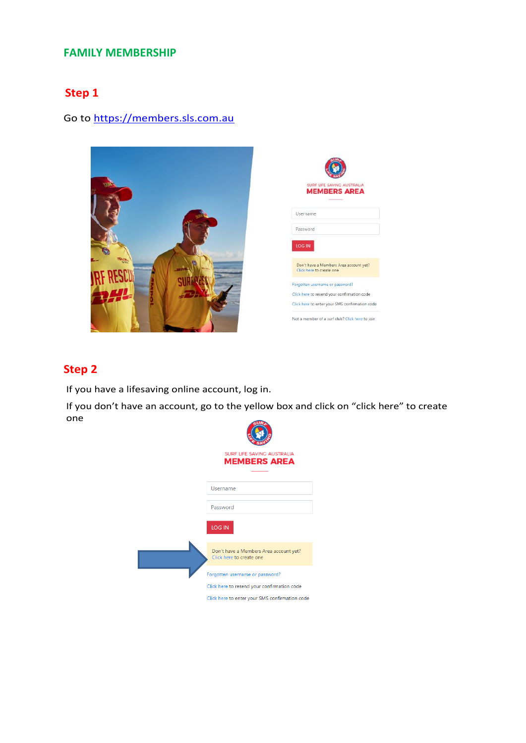#### **FAMILY MEMBERSHIP**

### **Step 1**

Go to [https://members.sls.com.au](https://members.sls.com.au/)



## **Step 2**

If you have a lifesaving online account, log in.

If you don't have an account, go to the yellow box and click on "click here" to create oneGURA

| <b>SURF LIFE SAVING AUSTRALIA</b><br><b>MEMBERS AREA</b>           |
|--------------------------------------------------------------------|
| Username                                                           |
| Password                                                           |
| <b>LOG IN</b>                                                      |
| Don't have a Members Area account yet?<br>Click here to create one |
| Forgotten username or password?                                    |
| Click here to resend your confirmation code                        |
| Click here to enter your SMS confirmation code                     |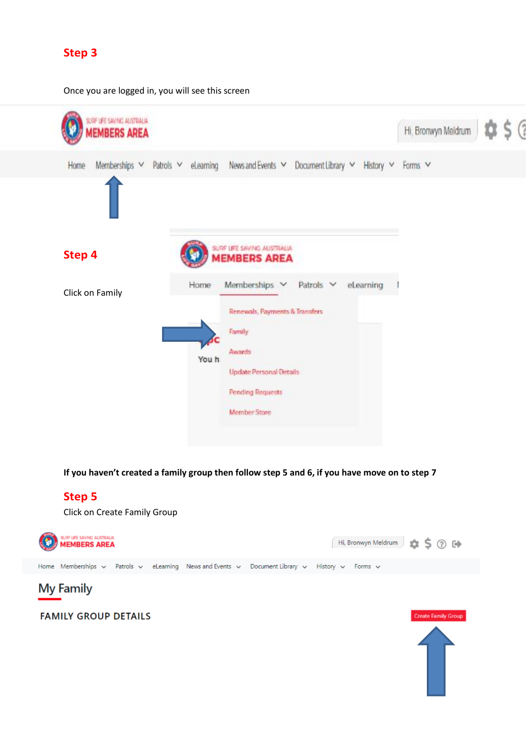Once you are logged in, you will see this screen





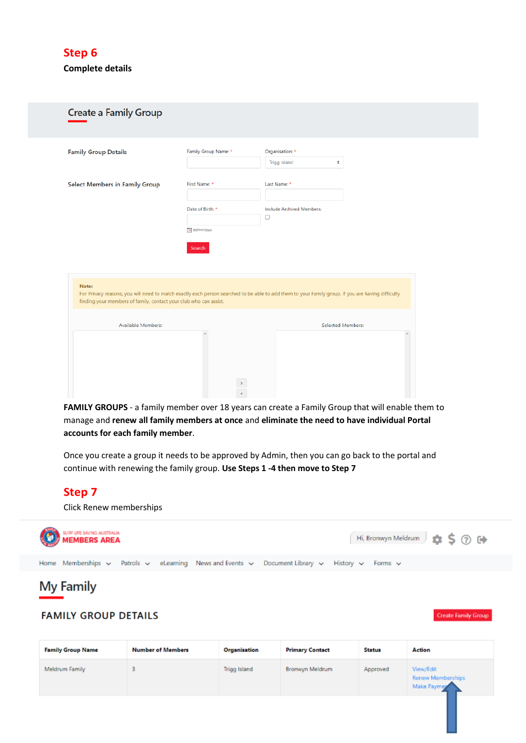#### **Step 6 Complete details**

| Create a Family Group                                             |                                  |                                                                                                                                                    |
|-------------------------------------------------------------------|----------------------------------|----------------------------------------------------------------------------------------------------------------------------------------------------|
| <b>Family Group Details</b>                                       | Family Group Name: *             | Organisation: *<br>Trigg Island<br>÷                                                                                                               |
| <b>Select Members in Family Group</b>                             | First Name: *                    | Last Name: *                                                                                                                                       |
|                                                                   | Date of Birth: *<br>a dd/mm/yyyy | Include Archived Members:<br>o                                                                                                                     |
| Note:                                                             | Search                           |                                                                                                                                                    |
| finding your members of family, contact your club who can assist. |                                  | For Privacy reasons, you will need to match exactly each person searched to be able to add them to your Family group. If you are having difficulty |
| Available Members:                                                |                                  | Selected Members:                                                                                                                                  |
|                                                                   |                                  |                                                                                                                                                    |

**FAMILY GROUPS** - a family member over 18 years can create a Family Group that will enable them to manage and **renew all family members at once** and **eliminate the need to have individual Portal accounts for each family member**.

Once you create a group it needs to be approved by Admin, then you can go back to the portal and continue with renewing the family group. **Use Steps 1 -4 then move to Step 7**

#### **Step 7**

Click Renew memberships



#### **FAMILY GROUP DETAILS**

Create Family Group

| <b>Family Group Name</b> | <b>Number of Members</b> | Organisation | <b>Primary Contact</b> | <b>Status</b> | Action                                               |
|--------------------------|--------------------------|--------------|------------------------|---------------|------------------------------------------------------|
| Meldrum Family           |                          | Trigg Island | Bronwyn Meldrum        | Approved      | View/Edit<br><b>Renew Memberships</b><br>Make Paymer |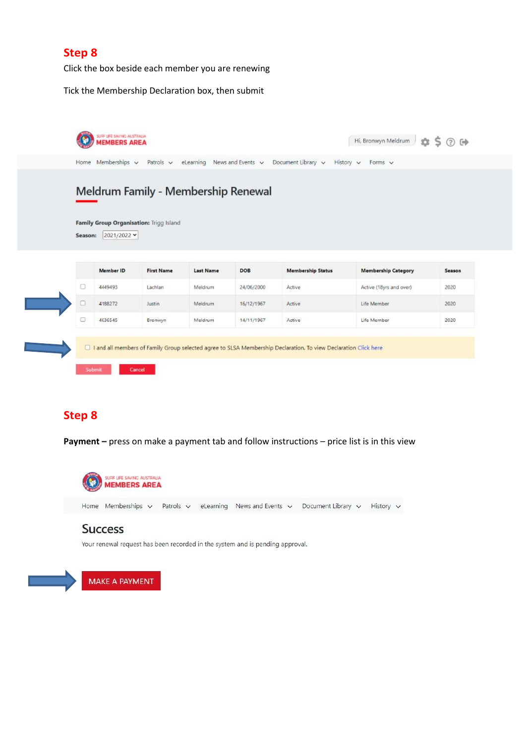Click the box beside each member you are renewing

Tick the Membership Declaration box, then submit

| Home    | Memberships $\vee$                                                                            | Patrols $\vee$    | eLearning News and Events $\sqrt{}$ |            | Document Library $\sim$  | History v<br>Forms $\vee$  |        |
|---------|-----------------------------------------------------------------------------------------------|-------------------|-------------------------------------|------------|--------------------------|----------------------------|--------|
| Season: | Meldrum Family - Membership Renewal<br>Family Group Organisation: Trigg Island<br>2021/2022 v |                   |                                     |            |                          |                            |        |
|         | <b>Member ID</b>                                                                              | <b>First Name</b> | <b>Last Name</b>                    | <b>DOB</b> | <b>Membership Status</b> | <b>Membership Category</b> | Season |
| Ω       | 4449493                                                                                       | Lachlan           | Meldrum                             | 24/06/2000 | Active                   | Active (18yrs and over)    | 2020   |
|         | 4188272                                                                                       | Justin            | Meldrum                             | 16/12/1967 | Active                   | Life Member                | 2020   |
| Ω       |                                                                                               |                   |                                     |            |                          |                            |        |
| o       | 4636545                                                                                       | Bronwyn           | Meldrum                             | 14/11/1967 | Active                   | Life Member                | 2020   |

#### **Step 8**

**Payment –** press on make a payment tab and follow instructions – price list is in this view